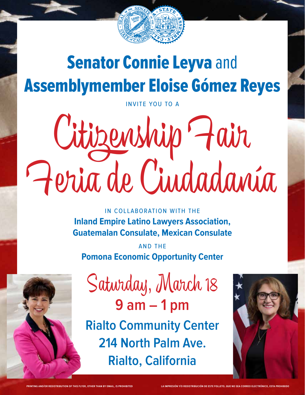

## **Senator Connie Leyva and** Assemblymember Eloise Gómez Reyes

invite you to a

# Citizenship �air �eria de Ciudadanía

in collaboration with the **Inland Empire Latino Lawyers Association, Guatemalan Consulate, Mexican Consulate**

and the **Pomona Economic Opportunity Center**



Saturday, March 18 **9 am – 1 pm**

**Rialto Community Center 214 North Palm Ave. Rialto, California**